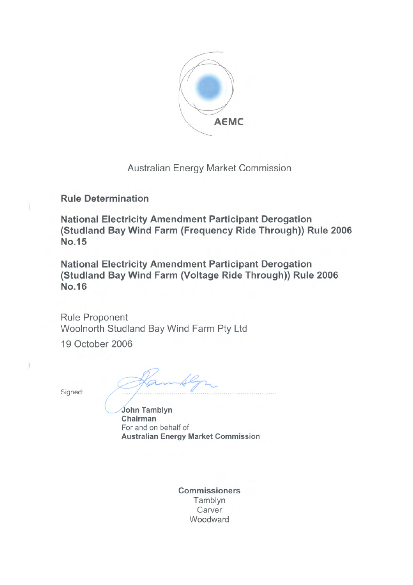

Australian Energy Market Commission

**Rule Determination** 

**National Electricity Amendment Participant Derogation** (Studland Bay Wind Farm (Frequency Ride Through)) Rule 2006 No.15

**National Electricity Amendment Participant Derogation** (Studland Bay Wind Farm (Voltage Ride Through)) Rule 2006 **No.16** 

**Rule Proponent** Woolnorth Studland Bay Wind Farm Pty Ltd

19 October 2006

Signed:

John Tamblyn Chairman For and on behalf of **Australian Energy Market Commission** 

**Commissioners** Tamblyn Carver Woodward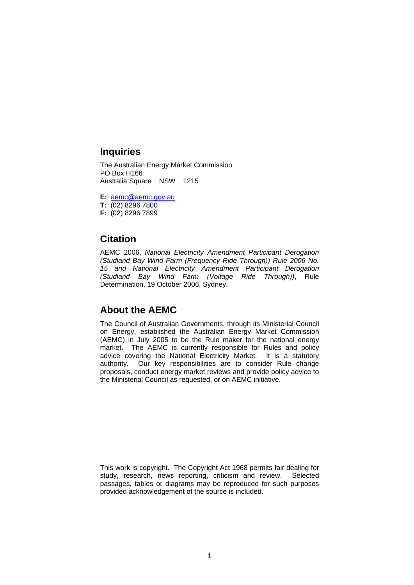### **Inquiries**

The Australian Energy Market Commission PO Box H166 Australia Square NSW 1215

**E:** [aemc@aemc.gov.au](mailto:aemc@aemc.gov.au)

**T:** (02) 8296 7800

**F:** (02) 8296 7899

### **Citation**

AEMC 2006, *National Electricity Amendment Participant Derogation (Studland Bay Wind Farm (Frequency Ride Through)) Rule 2006 No. 15 and National Electricity Amendment Participant Derogation (Studland Bay Wind Farm (Voltage Ride Through))*, Rule Determination, 19 October 2006, Sydney.

### **About the AEMC**

The Council of Australian Governments, through its Ministerial Council on Energy, established the Australian Energy Market Commission (AEMC) in July 2005 to be the Rule maker for the national energy market. The AEMC is currently responsible for Rules and policy advice covering the National Electricity Market. It is a statutory authority. Our key responsibilities are to consider Rule change proposals, conduct energy market reviews and provide policy advice to the Ministerial Council as requested, or on AEMC initiative.

This work is copyright. The Copyright Act 1968 permits fair dealing for study, research, news reporting, criticism and review. Selected passages, tables or diagrams may be reproduced for such purposes provided acknowledgement of the source is included.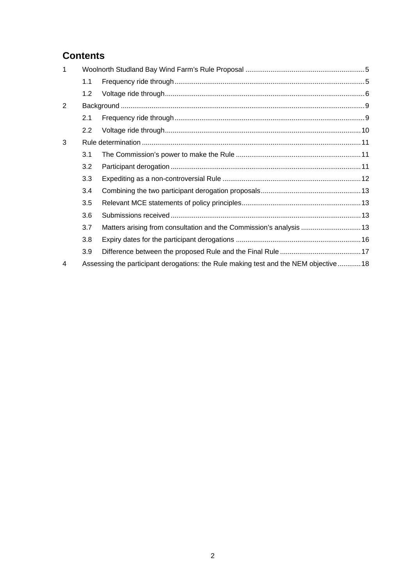# **Contents**

| $\mathbf 1$ |                                                                                     |  |
|-------------|-------------------------------------------------------------------------------------|--|
|             | 1.1                                                                                 |  |
|             | 1.2                                                                                 |  |
| 2           |                                                                                     |  |
|             | 2.1                                                                                 |  |
|             | $2.2^{\circ}$                                                                       |  |
| 3           |                                                                                     |  |
|             | 3.1                                                                                 |  |
|             | 3.2                                                                                 |  |
|             | 3.3                                                                                 |  |
|             | 3.4                                                                                 |  |
|             | 3.5                                                                                 |  |
|             | 3.6                                                                                 |  |
|             | 3.7                                                                                 |  |
|             | 3.8                                                                                 |  |
|             | 3.9                                                                                 |  |
| 4           | Assessing the participant derogations: the Rule making test and the NEM objective18 |  |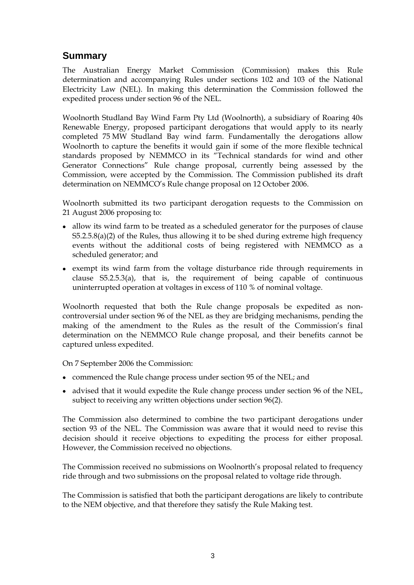# **Summary**

The Australian Energy Market Commission (Commission) makes this Rule determination and accompanying Rules under sections 102 and 103 of the National Electricity Law (NEL). In making this determination the Commission followed the expedited process under section 96 of the NEL.

Woolnorth Studland Bay Wind Farm Pty Ltd (Woolnorth), a subsidiary of Roaring 40s Renewable Energy, proposed participant derogations that would apply to its nearly completed 75 MW Studland Bay wind farm. Fundamentally the derogations allow Woolnorth to capture the benefits it would gain if some of the more flexible technical standards proposed by NEMMCO in its "Technical standards for wind and other Generator Connections" Rule change proposal, currently being assessed by the Commission, were accepted by the Commission. The Commission published its draft determination on NEMMCO's Rule change proposal on 12 October 2006.

Woolnorth submitted its two participant derogation requests to the Commission on 21 August 2006 proposing to:

- allow its wind farm to be treated as a scheduled generator for the purposes of clause S5.2.5.8(a)(2) of the Rules, thus allowing it to be shed during extreme high frequency events without the additional costs of being registered with NEMMCO as a scheduled generator; and
- exempt its wind farm from the voltage disturbance ride through requirements in clause S5.2.5.3(a), that is, the requirement of being capable of continuous uninterrupted operation at voltages in excess of 110 % of nominal voltage.

Woolnorth requested that both the Rule change proposals be expedited as noncontroversial under section 96 of the NEL as they are bridging mechanisms, pending the making of the amendment to the Rules as the result of the Commission's final determination on the NEMMCO Rule change proposal, and their benefits cannot be captured unless expedited.

On 7 September 2006 the Commission:

- commenced the Rule change process under section 95 of the NEL; and
- advised that it would expedite the Rule change process under section 96 of the NEL, subject to receiving any written objections under section 96(2).

The Commission also determined to combine the two participant derogations under section 93 of the NEL. The Commission was aware that it would need to revise this decision should it receive objections to expediting the process for either proposal. However, the Commission received no objections.

The Commission received no submissions on Woolnorth's proposal related to frequency ride through and two submissions on the proposal related to voltage ride through.

The Commission is satisfied that both the participant derogations are likely to contribute to the NEM objective, and that therefore they satisfy the Rule Making test.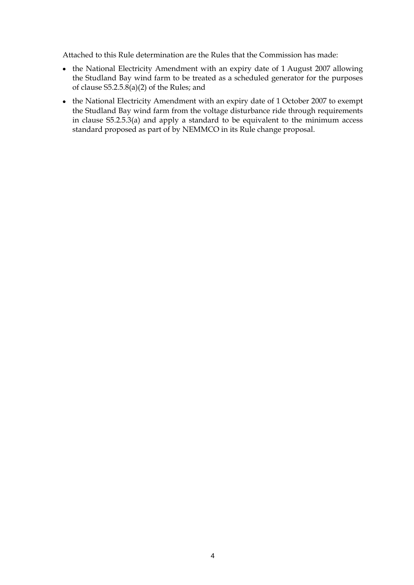Attached to this Rule determination are the Rules that the Commission has made:

- the National Electricity Amendment with an expiry date of 1 August 2007 allowing the Studland Bay wind farm to be treated as a scheduled generator for the purposes of clause S5.2.5.8(a)(2) of the Rules; and
- the National Electricity Amendment with an expiry date of 1 October 2007 to exempt the Studland Bay wind farm from the voltage disturbance ride through requirements in clause S5.2.5.3(a) and apply a standard to be equivalent to the minimum access standard proposed as part of by NEMMCO in its Rule change proposal.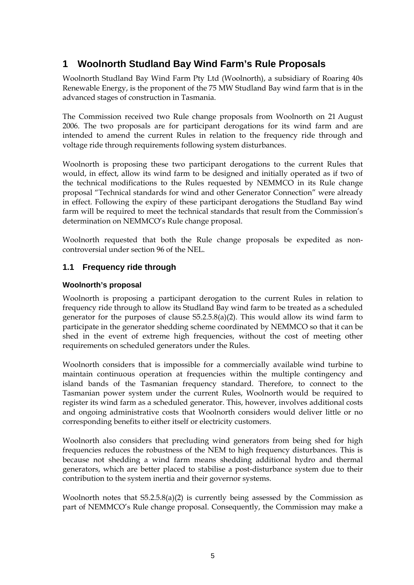# <span id="page-5-0"></span>**1 Woolnorth Studland Bay Wind Farm's Rule Proposals**

Woolnorth Studland Bay Wind Farm Pty Ltd (Woolnorth), a subsidiary of Roaring 40s Renewable Energy, is the proponent of the 75 MW Studland Bay wind farm that is in the advanced stages of construction in Tasmania.

The Commission received two Rule change proposals from Woolnorth on 21 August 2006. The two proposals are for participant derogations for its wind farm and are intended to amend the current Rules in relation to the frequency ride through and voltage ride through requirements following system disturbances.

Woolnorth is proposing these two participant derogations to the current Rules that would, in effect, allow its wind farm to be designed and initially operated as if two of the technical modifications to the Rules requested by NEMMCO in its Rule change proposal "Technical standards for wind and other Generator Connection" were already in effect. Following the expiry of these participant derogations the Studland Bay wind farm will be required to meet the technical standards that result from the Commission's determination on NEMMCO's Rule change proposal.

Woolnorth requested that both the Rule change proposals be expedited as noncontroversial under section 96 of the NEL.

### **1.1 Frequency ride through**

#### **Woolnorth's proposal**

Woolnorth is proposing a participant derogation to the current Rules in relation to frequency ride through to allow its Studland Bay wind farm to be treated as a scheduled generator for the purposes of clause S5.2.5.8(a)(2). This would allow its wind farm to participate in the generator shedding scheme coordinated by NEMMCO so that it can be shed in the event of extreme high frequencies, without the cost of meeting other requirements on scheduled generators under the Rules.

Woolnorth considers that is impossible for a commercially available wind turbine to maintain continuous operation at frequencies within the multiple contingency and island bands of the Tasmanian frequency standard. Therefore, to connect to the Tasmanian power system under the current Rules, Woolnorth would be required to register its wind farm as a scheduled generator. This, however, involves additional costs and ongoing administrative costs that Woolnorth considers would deliver little or no corresponding benefits to either itself or electricity customers.

Woolnorth also considers that precluding wind generators from being shed for high frequencies reduces the robustness of the NEM to high frequency disturbances. This is because not shedding a wind farm means shedding additional hydro and thermal generators, which are better placed to stabilise a post-disturbance system due to their contribution to the system inertia and their governor systems.

Woolnorth notes that S5.2.5.8(a)(2) is currently being assessed by the Commission as part of NEMMCO's Rule change proposal. Consequently, the Commission may make a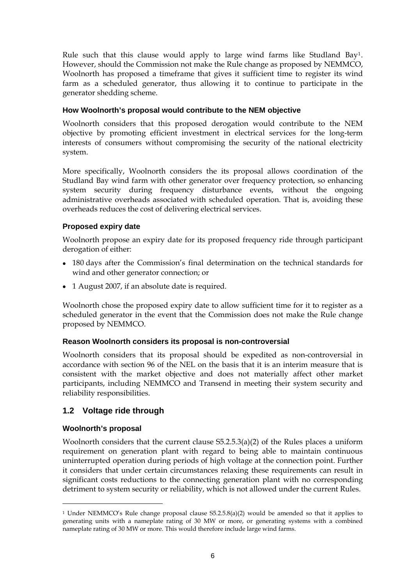<span id="page-6-0"></span>Rule such that this clause would apply to large wind farms like Studland Bay[1](#page-6-1). However, should the Commission not make the Rule change as proposed by NEMMCO, Woolnorth has proposed a timeframe that gives it sufficient time to register its wind farm as a scheduled generator, thus allowing it to continue to participate in the generator shedding scheme.

#### **How Woolnorth's proposal would contribute to the NEM objective**

Woolnorth considers that this proposed derogation would contribute to the NEM objective by promoting efficient investment in electrical services for the long-term interests of consumers without compromising the security of the national electricity system.

More specifically, Woolnorth considers the its proposal allows coordination of the Studland Bay wind farm with other generator over frequency protection, so enhancing system security during frequency disturbance events, without the ongoing administrative overheads associated with scheduled operation. That is, avoiding these overheads reduces the cost of delivering electrical services.

#### **Proposed expiry date**

Woolnorth propose an expiry date for its proposed frequency ride through participant derogation of either:

- 180 days after the Commission's final determination on the technical standards for wind and other generator connection; or
- 1 August 2007, if an absolute date is required.

Woolnorth chose the proposed expiry date to allow sufficient time for it to register as a scheduled generator in the event that the Commission does not make the Rule change proposed by NEMMCO.

#### **Reason Woolnorth considers its proposal is non-controversial**

Woolnorth considers that its proposal should be expedited as non-controversial in accordance with section 96 of the NEL on the basis that it is an interim measure that is consistent with the market objective and does not materially affect other market participants, including NEMMCO and Transend in meeting their system security and reliability responsibilities.

#### **1.2 Voltage ride through**

#### **Woolnorth's proposal**

1

Woolnorth considers that the current clause S5.2.5.3(a)(2) of the Rules places a uniform requirement on generation plant with regard to being able to maintain continuous uninterrupted operation during periods of high voltage at the connection point. Further it considers that under certain circumstances relaxing these requirements can result in significant costs reductions to the connecting generation plant with no corresponding detriment to system security or reliability, which is not allowed under the current Rules.

<span id="page-6-1"></span><sup>1</sup> Under NEMMCO's Rule change proposal clause S5.2.5.8(a)(2) would be amended so that it applies to generating units with a nameplate rating of 30 MW or more, or generating systems with a combined nameplate rating of 30 MW or more. This would therefore include large wind farms.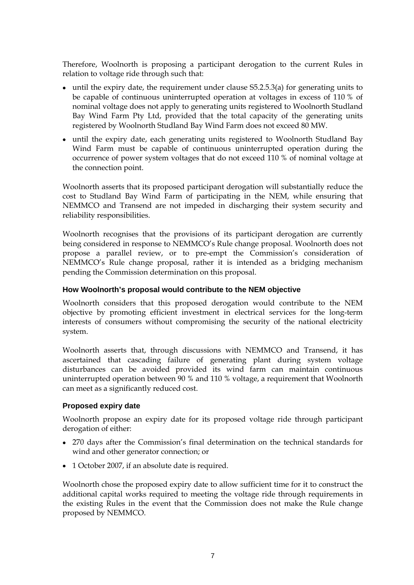Therefore, Woolnorth is proposing a participant derogation to the current Rules in relation to voltage ride through such that:

- until the expiry date, the requirement under clause S5.2.5.3(a) for generating units to be capable of continuous uninterrupted operation at voltages in excess of 110 % of nominal voltage does not apply to generating units registered to Woolnorth Studland Bay Wind Farm Pty Ltd, provided that the total capacity of the generating units registered by Woolnorth Studland Bay Wind Farm does not exceed 80 MW.
- until the expiry date, each generating units registered to Woolnorth Studland Bay Wind Farm must be capable of continuous uninterrupted operation during the occurrence of power system voltages that do not exceed 110 % of nominal voltage at the connection point.

Woolnorth asserts that its proposed participant derogation will substantially reduce the cost to Studland Bay Wind Farm of participating in the NEM, while ensuring that NEMMCO and Transend are not impeded in discharging their system security and reliability responsibilities.

Woolnorth recognises that the provisions of its participant derogation are currently being considered in response to NEMMCO's Rule change proposal. Woolnorth does not propose a parallel review, or to pre-empt the Commission's consideration of NEMMCO's Rule change proposal, rather it is intended as a bridging mechanism pending the Commission determination on this proposal.

#### **How Woolnorth's proposal would contribute to the NEM objective**

Woolnorth considers that this proposed derogation would contribute to the NEM objective by promoting efficient investment in electrical services for the long-term interests of consumers without compromising the security of the national electricity system.

Woolnorth asserts that, through discussions with NEMMCO and Transend, it has ascertained that cascading failure of generating plant during system voltage disturbances can be avoided provided its wind farm can maintain continuous uninterrupted operation between 90 % and 110 % voltage, a requirement that Woolnorth can meet as a significantly reduced cost.

#### **Proposed expiry date**

Woolnorth propose an expiry date for its proposed voltage ride through participant derogation of either:

- 270 days after the Commission's final determination on the technical standards for wind and other generator connection; or
- 1 October 2007, if an absolute date is required.

Woolnorth chose the proposed expiry date to allow sufficient time for it to construct the additional capital works required to meeting the voltage ride through requirements in the existing Rules in the event that the Commission does not make the Rule change proposed by NEMMCO.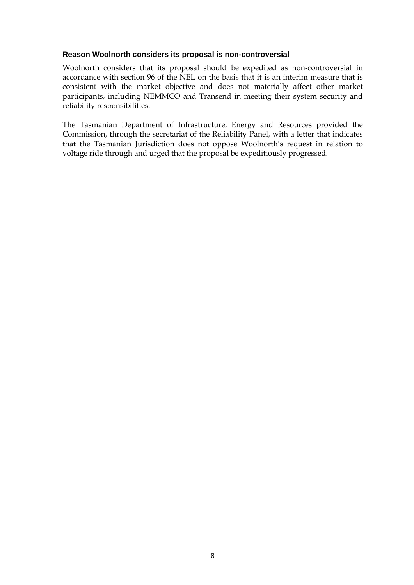#### **Reason Woolnorth considers its proposal is non-controversial**

Woolnorth considers that its proposal should be expedited as non-controversial in accordance with section 96 of the NEL on the basis that it is an interim measure that is consistent with the market objective and does not materially affect other market participants, including NEMMCO and Transend in meeting their system security and reliability responsibilities.

The Tasmanian Department of Infrastructure, Energy and Resources provided the Commission, through the secretariat of the Reliability Panel, with a letter that indicates that the Tasmanian Jurisdiction does not oppose Woolnorth's request in relation to voltage ride through and urged that the proposal be expeditiously progressed.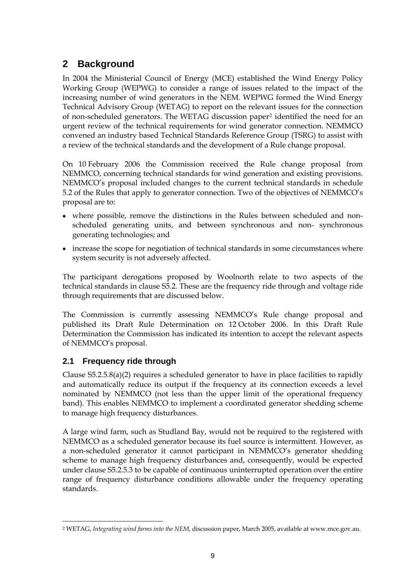# <span id="page-9-0"></span>**2 Background**

In 2004 the Ministerial Council of Energy (MCE) established the Wind Energy Policy Working Group (WEPWG) to consider a range of issues related to the impact of the increasing number of wind generators in the NEM. WEPWG formed the Wind Energy Technical Advisory Group (WETAG) to report on the relevant issues for the connection of non-scheduled generators. The WETAG discussion paper[2](#page-9-1) identified the need for an urgent review of the technical requirements for wind generator connection. NEMMCO convened an industry based Technical Standards Reference Group (TSRG) to assist with a review of the technical standards and the development of a Rule change proposal.

On 10 February 2006 the Commission received the Rule change proposal from NEMMCO, concerning technical standards for wind generation and existing provisions. NEMMCO's proposal included changes to the current technical standards in schedule 5.2 of the Rules that apply to generator connection. Two of the objectives of NEMMCO's proposal are to:

- where possible, remove the distinctions in the Rules between scheduled and nonscheduled generating units, and between synchronous and non- synchronous generating technologies; and
- increase the scope for negotiation of technical standards in some circumstances where system security is not adversely affected.

The participant derogations proposed by Woolnorth relate to two aspects of the technical standards in clause S5.2. These are the frequency ride through and voltage ride through requirements that are discussed below.

The Commission is currently assessing NEMMCO's Rule change proposal and published its Draft Rule Determination on 12 October 2006. In this Draft Rule Determination the Commission has indicated its intention to accept the relevant aspects of NEMMCO's proposal.

### **2.1 Frequency ride through**

1

Clause  $55.2.5.8(a)(2)$  requires a scheduled generator to have in place facilities to rapidly and automatically reduce its output if the frequency at its connection exceeds a level nominated by NEMMCO (not less than the upper limit of the operational frequency band). This enables NEMMCO to implement a coordinated generator shedding scheme to manage high frequency disturbances.

A large wind farm, such as Studland Bay, would not be required to the registered with NEMMCO as a scheduled generator because its fuel source is intermittent. However, as a non-scheduled generator it cannot participant in NEMMCO's generator shedding scheme to manage high frequency disturbances and, consequently, would be expected under clause S5.2.5.3 to be capable of continuous uninterrupted operation over the entire range of frequency disturbance conditions allowable under the frequency operating standards.

<span id="page-9-1"></span><sup>2</sup> WETAG, *Integrating wind farms into the NEM*, discussion paper, March 2005, available at www.mce.gov.au.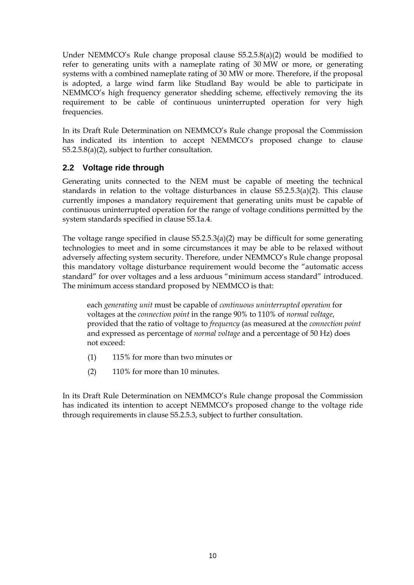<span id="page-10-0"></span>Under NEMMCO's Rule change proposal clause S5.2.5.8(a)(2) would be modified to refer to generating units with a nameplate rating of 30 MW or more, or generating systems with a combined nameplate rating of 30 MW or more. Therefore, if the proposal is adopted, a large wind farm like Studland Bay would be able to participate in NEMMCO's high frequency generator shedding scheme, effectively removing the its requirement to be cable of continuous uninterrupted operation for very high frequencies.

In its Draft Rule Determination on NEMMCO's Rule change proposal the Commission has indicated its intention to accept NEMMCO's proposed change to clause S5.2.5.8(a)(2), subject to further consultation.

### **2.2 Voltage ride through**

Generating units connected to the NEM must be capable of meeting the technical standards in relation to the voltage disturbances in clause S5.2.5.3(a)(2). This clause currently imposes a mandatory requirement that generating units must be capable of continuous uninterrupted operation for the range of voltage conditions permitted by the system standards specified in clause S5.1a.4.

The voltage range specified in clause S5.2.5.3(a)(2) may be difficult for some generating technologies to meet and in some circumstances it may be able to be relaxed without adversely affecting system security. Therefore, under NEMMCO's Rule change proposal this mandatory voltage disturbance requirement would become the "automatic access standard" for over voltages and a less arduous "minimum access standard" introduced. The minimum access standard proposed by NEMMCO is that:

each *generating unit* must be capable of *continuous uninterrupted operation* for voltages at the *connection point* in the range 90% to 110% of *normal voltage*, provided that the ratio of voltage to *frequency* (as measured at the *connection point* and expressed as percentage of *normal voltage* and a percentage of 50 Hz) does not exceed:

- (1) 115% for more than two minutes or
- (2) 110% for more than 10 minutes.

In its Draft Rule Determination on NEMMCO's Rule change proposal the Commission has indicated its intention to accept NEMMCO's proposed change to the voltage ride through requirements in clause S5.2.5.3, subject to further consultation.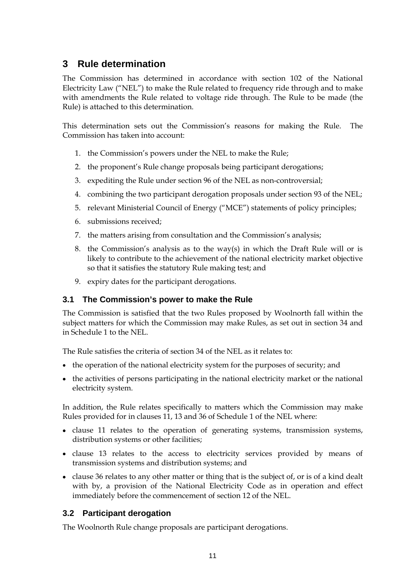# <span id="page-11-0"></span>**3 Rule determination**

The Commission has determined in accordance with section 102 of the National Electricity Law ("NEL") to make the Rule related to frequency ride through and to make with amendments the Rule related to voltage ride through. The Rule to be made (the Rule) is attached to this determination.

This determination sets out the Commission's reasons for making the Rule. The Commission has taken into account:

- 1. the Commission's powers under the NEL to make the Rule;
- 2. the proponent's Rule change proposals being participant derogations;
- 3. expediting the Rule under section 96 of the NEL as non-controversial;
- 4. combining the two participant derogation proposals under section 93 of the NEL;
- 5. relevant Ministerial Council of Energy ("MCE") statements of policy principles;
- 6. submissions received;
- 7. the matters arising from consultation and the Commission's analysis;
- 8. the Commission's analysis as to the way(s) in which the Draft Rule will or is likely to contribute to the achievement of the national electricity market objective so that it satisfies the statutory Rule making test; and
- 9. expiry dates for the participant derogations.

#### **3.1 The Commission's power to make the Rule**

The Commission is satisfied that the two Rules proposed by Woolnorth fall within the subject matters for which the Commission may make Rules, as set out in section 34 and in Schedule 1 to the NEL.

The Rule satisfies the criteria of section 34 of the NEL as it relates to:

- the operation of the national electricity system for the purposes of security; and
- the activities of persons participating in the national electricity market or the national electricity system.

In addition, the Rule relates specifically to matters which the Commission may make Rules provided for in clauses 11, 13 and 36 of Schedule 1 of the NEL where:

- clause 11 relates to the operation of generating systems, transmission systems, distribution systems or other facilities;
- clause 13 relates to the access to electricity services provided by means of transmission systems and distribution systems; and
- clause 36 relates to any other matter or thing that is the subject of, or is of a kind dealt with by, a provision of the National Electricity Code as in operation and effect immediately before the commencement of section 12 of the NEL.

### **3.2 Participant derogation**

The Woolnorth Rule change proposals are participant derogations.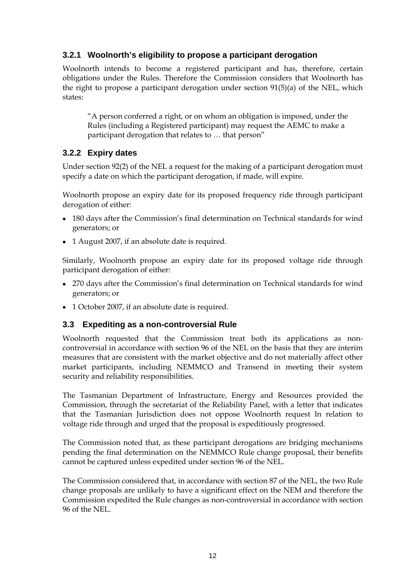### <span id="page-12-0"></span>**3.2.1 Woolnorth's eligibility to propose a participant derogation**

Woolnorth intends to become a registered participant and has, therefore, certain obligations under the Rules. Therefore the Commission considers that Woolnorth has the right to propose a participant derogation under section 91(5)(a) of the NEL, which states:

"A person conferred a right, or on whom an obligation is imposed, under the Rules (including a Registered participant) may request the AEMC to make a participant derogation that relates to … that person"

### **3.2.2 Expiry dates**

Under section 92(2) of the NEL a request for the making of a participant derogation must specify a date on which the participant derogation, if made, will expire.

Woolnorth propose an expiry date for its proposed frequency ride through participant derogation of either:

- 180 days after the Commission's final determination on Technical standards for wind generators; or
- 1 August 2007, if an absolute date is required.

Similarly, Woolnorth propose an expiry date for its proposed voltage ride through participant derogation of either:

- 270 days after the Commission's final determination on Technical standards for wind generators; or
- 1 October 2007, if an absolute date is required.

#### **3.3 Expediting as a non-controversial Rule**

Woolnorth requested that the Commission treat both its applications as noncontroversial in accordance with section 96 of the NEL on the basis that they are interim measures that are consistent with the market objective and do not materially affect other market participants, including NEMMCO and Transend in meeting their system security and reliability responsibilities.

The Tasmanian Department of Infrastructure, Energy and Resources provided the Commission, through the secretariat of the Reliability Panel, with a letter that indicates that the Tasmanian Jurisdiction does not oppose Woolnorth request In relation to voltage ride through and urged that the proposal is expeditiously progressed.

The Commission noted that, as these participant derogations are bridging mechanisms pending the final determination on the NEMMCO Rule change proposal, their benefits cannot be captured unless expedited under section 96 of the NEL.

The Commission considered that, in accordance with section 87 of the NEL, the two Rule change proposals are unlikely to have a significant effect on the NEM and therefore the Commission expedited the Rule changes as non-controversial in accordance with section 96 of the NEL.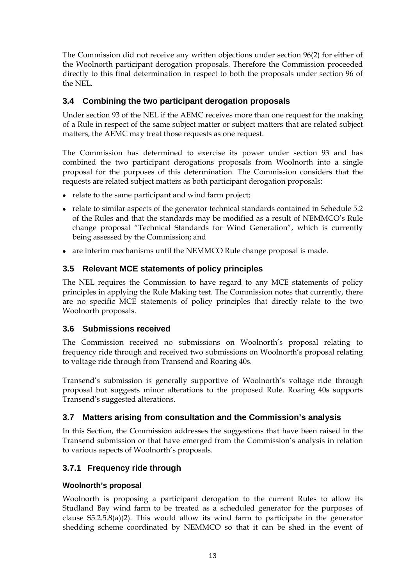<span id="page-13-0"></span>The Commission did not receive any written objections under section 96(2) for either of the Woolnorth participant derogation proposals. Therefore the Commission proceeded directly to this final determination in respect to both the proposals under section 96 of the NEL.

### **3.4 Combining the two participant derogation proposals**

Under section 93 of the NEL if the AEMC receives more than one request for the making of a Rule in respect of the same subject matter or subject matters that are related subject matters, the AEMC may treat those requests as one request.

The Commission has determined to exercise its power under section 93 and has combined the two participant derogations proposals from Woolnorth into a single proposal for the purposes of this determination. The Commission considers that the requests are related subject matters as both participant derogation proposals:

- relate to the same participant and wind farm project;
- relate to similar aspects of the generator technical standards contained in Schedule 5.2 of the Rules and that the standards may be modified as a result of NEMMCO's Rule change proposal "Technical Standards for Wind Generation", which is currently being assessed by the Commission; and
- are interim mechanisms until the NEMMCO Rule change proposal is made.

### **3.5 Relevant MCE statements of policy principles**

The NEL requires the Commission to have regard to any MCE statements of policy principles in applying the Rule Making test. The Commission notes that currently, there are no specific MCE statements of policy principles that directly relate to the two Woolnorth proposals.

### **3.6 Submissions received**

The Commission received no submissions on Woolnorth's proposal relating to frequency ride through and received two submissions on Woolnorth's proposal relating to voltage ride through from Transend and Roaring 40s.

Transend's submission is generally supportive of Woolnorth's voltage ride through proposal but suggests minor alterations to the proposed Rule. Roaring 40s supports Transend's suggested alterations.

### **3.7 Matters arising from consultation and the Commission's analysis**

In this Section, the Commission addresses the suggestions that have been raised in the Transend submission or that have emerged from the Commission's analysis in relation to various aspects of Woolnorth's proposals.

### **3.7.1 Frequency ride through**

#### **Woolnorth's proposal**

Woolnorth is proposing a participant derogation to the current Rules to allow its Studland Bay wind farm to be treated as a scheduled generator for the purposes of clause S5.2.5.8(a)(2). This would allow its wind farm to participate in the generator shedding scheme coordinated by NEMMCO so that it can be shed in the event of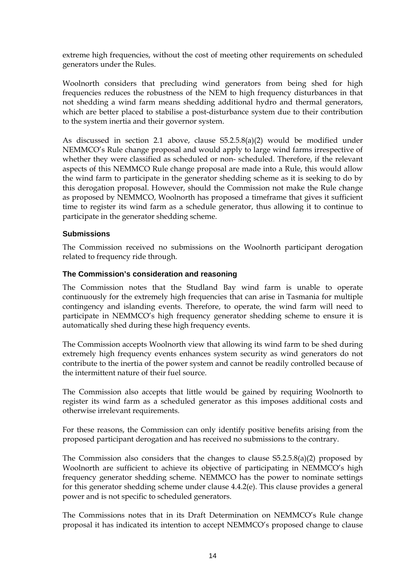extreme high frequencies, without the cost of meeting other requirements on scheduled generators under the Rules.

Woolnorth considers that precluding wind generators from being shed for high frequencies reduces the robustness of the NEM to high frequency disturbances in that not shedding a wind farm means shedding additional hydro and thermal generators, which are better placed to stabilise a post-disturbance system due to their contribution to the system inertia and their governor system.

As discussed in section 2.1 above, clause S5.2.5.8(a)(2) would be modified under NEMMCO's Rule change proposal and would apply to large wind farms irrespective of whether they were classified as scheduled or non- scheduled. Therefore, if the relevant aspects of this NEMMCO Rule change proposal are made into a Rule, this would allow the wind farm to participate in the generator shedding scheme as it is seeking to do by this derogation proposal. However, should the Commission not make the Rule change as proposed by NEMMCO, Woolnorth has proposed a timeframe that gives it sufficient time to register its wind farm as a schedule generator, thus allowing it to continue to participate in the generator shedding scheme.

#### **Submissions**

The Commission received no submissions on the Woolnorth participant derogation related to frequency ride through.

#### **The Commission's consideration and reasoning**

The Commission notes that the Studland Bay wind farm is unable to operate continuously for the extremely high frequencies that can arise in Tasmania for multiple contingency and islanding events. Therefore, to operate, the wind farm will need to participate in NEMMCO's high frequency generator shedding scheme to ensure it is automatically shed during these high frequency events.

The Commission accepts Woolnorth view that allowing its wind farm to be shed during extremely high frequency events enhances system security as wind generators do not contribute to the inertia of the power system and cannot be readily controlled because of the intermittent nature of their fuel source.

The Commission also accepts that little would be gained by requiring Woolnorth to register its wind farm as a scheduled generator as this imposes additional costs and otherwise irrelevant requirements.

For these reasons, the Commission can only identify positive benefits arising from the proposed participant derogation and has received no submissions to the contrary.

The Commission also considers that the changes to clause S5.2.5.8(a)(2) proposed by Woolnorth are sufficient to achieve its objective of participating in NEMMCO's high frequency generator shedding scheme. NEMMCO has the power to nominate settings for this generator shedding scheme under clause 4.4.2(e). This clause provides a general power and is not specific to scheduled generators.

The Commissions notes that in its Draft Determination on NEMMCO's Rule change proposal it has indicated its intention to accept NEMMCO's proposed change to clause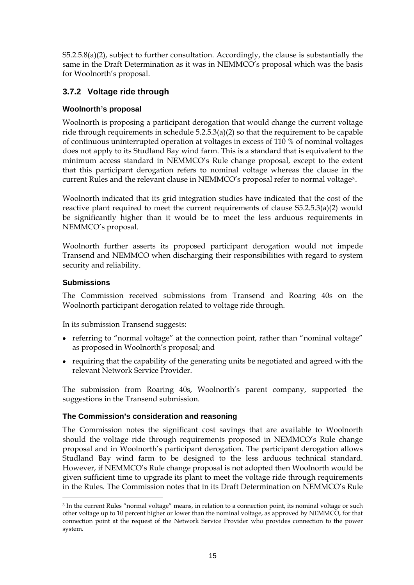S5.2.5.8(a)(2), subject to further consultation. Accordingly, the clause is substantially the same in the Draft Determination as it was in NEMMCO's proposal which was the basis for Woolnorth's proposal.

### **3.7.2 Voltage ride through**

#### **Woolnorth's proposal**

Woolnorth is proposing a participant derogation that would change the current voltage ride through requirements in schedule 5.2.5.3(a)(2) so that the requirement to be capable of continuous uninterrupted operation at voltages in excess of 110 % of nominal voltages does not apply to its Studland Bay wind farm. This is a standard that is equivalent to the minimum access standard in NEMMCO's Rule change proposal, except to the extent that this participant derogation refers to nominal voltage whereas the clause in the current Rules and the relevant clause in NEMMCO's proposal refer to normal voltage[3](#page-15-0).

Woolnorth indicated that its grid integration studies have indicated that the cost of the reactive plant required to meet the current requirements of clause S5.2.5.3(a)(2) would be significantly higher than it would be to meet the less arduous requirements in NEMMCO's proposal.

Woolnorth further asserts its proposed participant derogation would not impede Transend and NEMMCO when discharging their responsibilities with regard to system security and reliability.

#### **Submissions**

1

The Commission received submissions from Transend and Roaring 40s on the Woolnorth participant derogation related to voltage ride through.

In its submission Transend suggests:

- referring to "normal voltage" at the connection point, rather than "nominal voltage" as proposed in Woolnorth's proposal; and
- requiring that the capability of the generating units be negotiated and agreed with the relevant Network Service Provider.

The submission from Roaring 40s, Woolnorth's parent company, supported the suggestions in the Transend submission.

#### **The Commission's consideration and reasoning**

The Commission notes the significant cost savings that are available to Woolnorth should the voltage ride through requirements proposed in NEMMCO's Rule change proposal and in Woolnorth's participant derogation. The participant derogation allows Studland Bay wind farm to be designed to the less arduous technical standard. However, if NEMMCO's Rule change proposal is not adopted then Woolnorth would be given sufficient time to upgrade its plant to meet the voltage ride through requirements in the Rules. The Commission notes that in its Draft Determination on NEMMCO's Rule

<span id="page-15-0"></span><sup>3</sup> In the current Rules "normal voltage" means, in relation to a connection point, its nominal voltage or such other voltage up to 10 percent higher or lower than the nominal voltage, as approved by NEMMCO, for that connection point at the request of the Network Service Provider who provides connection to the power system.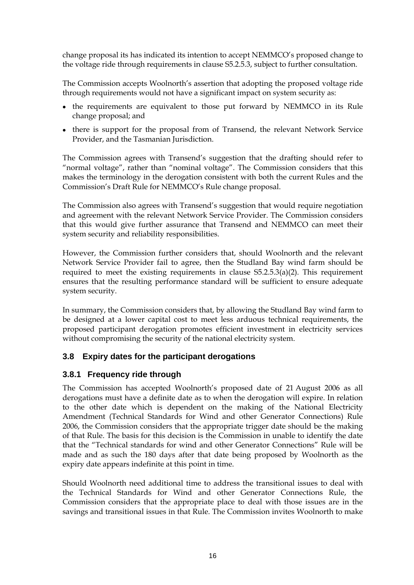<span id="page-16-0"></span>change proposal its has indicated its intention to accept NEMMCO's proposed change to the voltage ride through requirements in clause S5.2.5.3, subject to further consultation.

The Commission accepts Woolnorth's assertion that adopting the proposed voltage ride through requirements would not have a significant impact on system security as:

- the requirements are equivalent to those put forward by NEMMCO in its Rule change proposal; and
- there is support for the proposal from of Transend, the relevant Network Service Provider, and the Tasmanian Jurisdiction.

The Commission agrees with Transend's suggestion that the drafting should refer to "normal voltage", rather than "nominal voltage". The Commission considers that this makes the terminology in the derogation consistent with both the current Rules and the Commission's Draft Rule for NEMMCO's Rule change proposal.

The Commission also agrees with Transend's suggestion that would require negotiation and agreement with the relevant Network Service Provider. The Commission considers that this would give further assurance that Transend and NEMMCO can meet their system security and reliability responsibilities.

However, the Commission further considers that, should Woolnorth and the relevant Network Service Provider fail to agree, then the Studland Bay wind farm should be required to meet the existing requirements in clause S5.2.5.3(a)(2). This requirement ensures that the resulting performance standard will be sufficient to ensure adequate system security.

In summary, the Commission considers that, by allowing the Studland Bay wind farm to be designed at a lower capital cost to meet less arduous technical requirements, the proposed participant derogation promotes efficient investment in electricity services without compromising the security of the national electricity system.

### **3.8 Expiry dates for the participant derogations**

### **3.8.1 Frequency ride through**

The Commission has accepted Woolnorth's proposed date of 21 August 2006 as all derogations must have a definite date as to when the derogation will expire. In relation to the other date which is dependent on the making of the National Electricity Amendment (Technical Standards for Wind and other Generator Connections) Rule 2006, the Commission considers that the appropriate trigger date should be the making of that Rule. The basis for this decision is the Commission in unable to identify the date that the "Technical standards for wind and other Generator Connections" Rule will be made and as such the 180 days after that date being proposed by Woolnorth as the expiry date appears indefinite at this point in time.

Should Woolnorth need additional time to address the transitional issues to deal with the Technical Standards for Wind and other Generator Connections Rule, the Commission considers that the appropriate place to deal with those issues are in the savings and transitional issues in that Rule. The Commission invites Woolnorth to make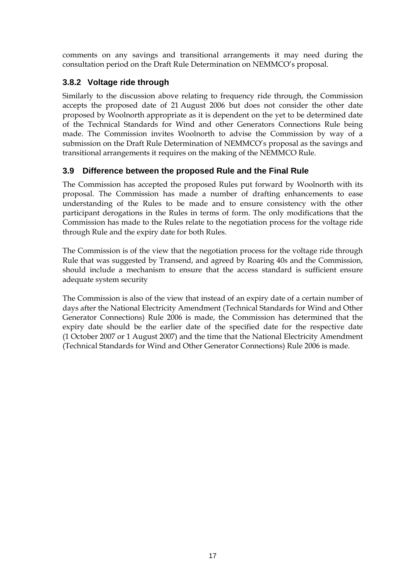<span id="page-17-0"></span>comments on any savings and transitional arrangements it may need during the consultation period on the Draft Rule Determination on NEMMCO's proposal.

### **3.8.2 Voltage ride through**

Similarly to the discussion above relating to frequency ride through, the Commission accepts the proposed date of 21 August 2006 but does not consider the other date proposed by Woolnorth appropriate as it is dependent on the yet to be determined date of the Technical Standards for Wind and other Generators Connections Rule being made. The Commission invites Woolnorth to advise the Commission by way of a submission on the Draft Rule Determination of NEMMCO's proposal as the savings and transitional arrangements it requires on the making of the NEMMCO Rule.

### **3.9 Difference between the proposed Rule and the Final Rule**

The Commission has accepted the proposed Rules put forward by Woolnorth with its proposal. The Commission has made a number of drafting enhancements to ease understanding of the Rules to be made and to ensure consistency with the other participant derogations in the Rules in terms of form. The only modifications that the Commission has made to the Rules relate to the negotiation process for the voltage ride through Rule and the expiry date for both Rules.

The Commission is of the view that the negotiation process for the voltage ride through Rule that was suggested by Transend, and agreed by Roaring 40s and the Commission, should include a mechanism to ensure that the access standard is sufficient ensure adequate system security

The Commission is also of the view that instead of an expiry date of a certain number of days after the National Electricity Amendment (Technical Standards for Wind and Other Generator Connections) Rule 2006 is made, the Commission has determined that the expiry date should be the earlier date of the specified date for the respective date (1 October 2007 or 1 August 2007) and the time that the National Electricity Amendment (Technical Standards for Wind and Other Generator Connections) Rule 2006 is made.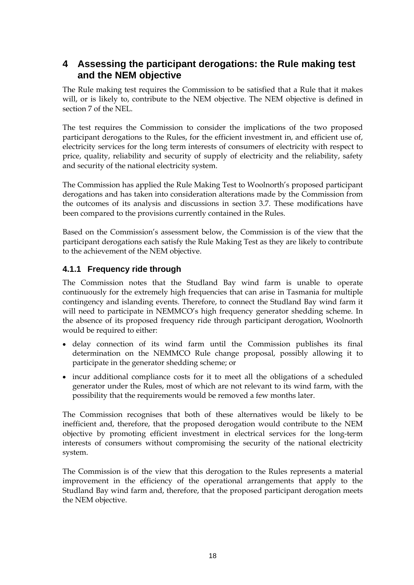# <span id="page-18-0"></span>**4 Assessing the participant derogations: the Rule making test and the NEM objective**

The Rule making test requires the Commission to be satisfied that a Rule that it makes will, or is likely to, contribute to the NEM objective. The NEM objective is defined in section 7 of the NEL.

The test requires the Commission to consider the implications of the two proposed participant derogations to the Rules, for the efficient investment in, and efficient use of, electricity services for the long term interests of consumers of electricity with respect to price, quality, reliability and security of supply of electricity and the reliability, safety and security of the national electricity system.

The Commission has applied the Rule Making Test to Woolnorth's proposed participant derogations and has taken into consideration alterations made by the Commission from the outcomes of its analysis and discussions in section 3.7. These modifications have been compared to the provisions currently contained in the Rules.

Based on the Commission's assessment below, the Commission is of the view that the participant derogations each satisfy the Rule Making Test as they are likely to contribute to the achievement of the NEM objective.

### **4.1.1 Frequency ride through**

The Commission notes that the Studland Bay wind farm is unable to operate continuously for the extremely high frequencies that can arise in Tasmania for multiple contingency and islanding events. Therefore, to connect the Studland Bay wind farm it will need to participate in NEMMCO's high frequency generator shedding scheme. In the absence of its proposed frequency ride through participant derogation, Woolnorth would be required to either:

- delay connection of its wind farm until the Commission publishes its final determination on the NEMMCO Rule change proposal, possibly allowing it to participate in the generator shedding scheme; or
- incur additional compliance costs for it to meet all the obligations of a scheduled generator under the Rules, most of which are not relevant to its wind farm, with the possibility that the requirements would be removed a few months later.

The Commission recognises that both of these alternatives would be likely to be inefficient and, therefore, that the proposed derogation would contribute to the NEM objective by promoting efficient investment in electrical services for the long-term interests of consumers without compromising the security of the national electricity system.

The Commission is of the view that this derogation to the Rules represents a material improvement in the efficiency of the operational arrangements that apply to the Studland Bay wind farm and, therefore, that the proposed participant derogation meets the NEM objective.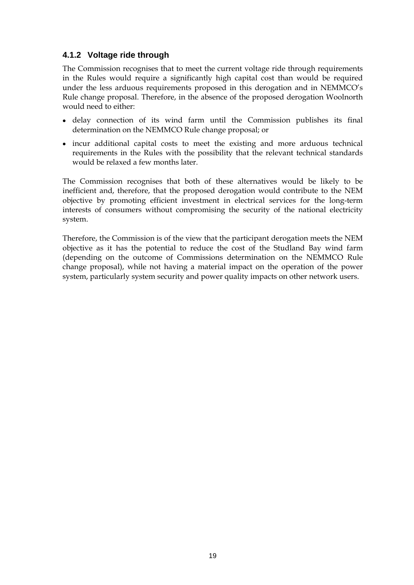### **4.1.2 Voltage ride through**

The Commission recognises that to meet the current voltage ride through requirements in the Rules would require a significantly high capital cost than would be required under the less arduous requirements proposed in this derogation and in NEMMCO's Rule change proposal. Therefore, in the absence of the proposed derogation Woolnorth would need to either:

- delay connection of its wind farm until the Commission publishes its final determination on the NEMMCO Rule change proposal; or
- incur additional capital costs to meet the existing and more arduous technical requirements in the Rules with the possibility that the relevant technical standards would be relaxed a few months later.

The Commission recognises that both of these alternatives would be likely to be inefficient and, therefore, that the proposed derogation would contribute to the NEM objective by promoting efficient investment in electrical services for the long-term interests of consumers without compromising the security of the national electricity system.

Therefore, the Commission is of the view that the participant derogation meets the NEM objective as it has the potential to reduce the cost of the Studland Bay wind farm (depending on the outcome of Commissions determination on the NEMMCO Rule change proposal), while not having a material impact on the operation of the power system, particularly system security and power quality impacts on other network users.